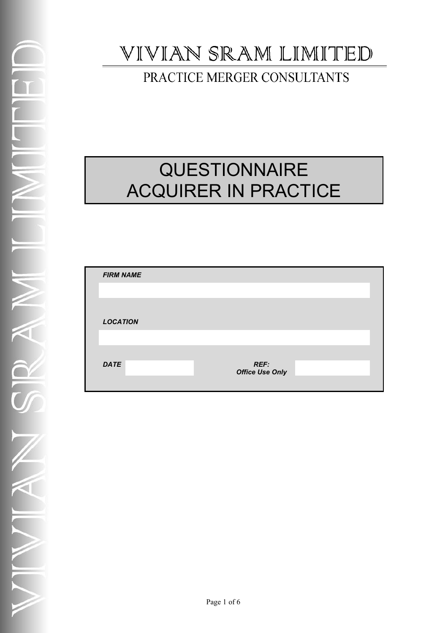## VIVIAN SRAM LIMITED

PRACTICE MERGER CONSULTANTS

# **QUESTIONNAIRE** ACQUIRER IN PRACTICE

| <b>FIRM NAME</b> |                                |  |
|------------------|--------------------------------|--|
|                  |                                |  |
|                  |                                |  |
| <b>LOCATION</b>  |                                |  |
|                  |                                |  |
|                  |                                |  |
| <b>DATE</b>      | REF:<br><b>Office Use Only</b> |  |
|                  |                                |  |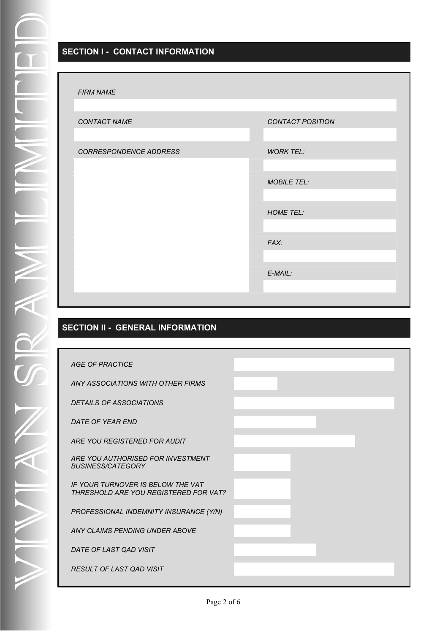#### **SECTION I - CONTACT INFORMATION**

| CONTACT NAME           | CONTACT POSITION   |
|------------------------|--------------------|
|                        |                    |
| CORRESPONDENCE ADDRESS | <b>WORK TEL:</b>   |
|                        |                    |
|                        | <b>MOBILE TEL:</b> |
|                        |                    |
|                        | <b>HOME TEL:</b>   |
|                        |                    |
|                        | FAX:               |
|                        |                    |
|                        | $E$ -MAIL:         |
|                        |                    |
|                        |                    |

#### **SECTION II - GENERAL INFORMATION**

| <b>AGE OF PRACTICE</b>                                                     |  |
|----------------------------------------------------------------------------|--|
| ANY ASSOCIATIONS WITH OTHER FIRMS                                          |  |
| <b>DETAILS OF ASSOCIATIONS</b>                                             |  |
| DATE OF YEAR END                                                           |  |
| ARE YOU REGISTERED FOR AUDIT                                               |  |
| ARE YOU AUTHORISED FOR INVESTMENT<br><b>BUSINESS/CATEGORY</b>              |  |
| IF YOUR TURNOVER IS BELOW THE VAT<br>THRESHOLD ARE YOU REGISTERED FOR VAT? |  |
| PROFESSIONAL INDEMNITY INSURANCE (Y/N)                                     |  |
| ANY CLAIMS PENDING UNDER ABOVE                                             |  |
| DATE OF LAST QAD VISIT                                                     |  |
| RESULT OF LAST QAD VISIT                                                   |  |
|                                                                            |  |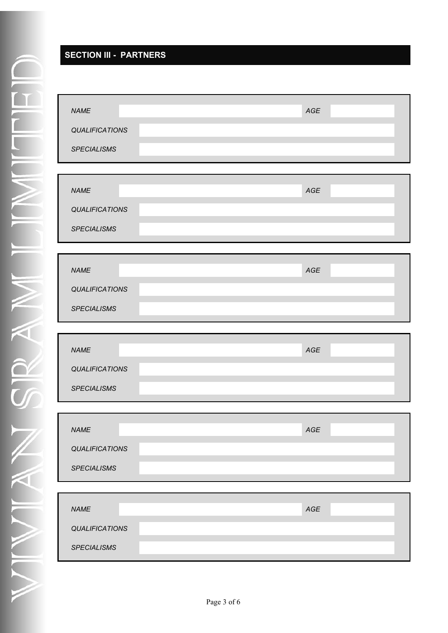#### **SECTION III - PARTNERS**

| <b>NAME</b><br>QUALIFICATIONS<br><b>SPECIALISMS</b> | AGE            |
|-----------------------------------------------------|----------------|
|                                                     |                |
| <b>NAME</b>                                         | $\mathit{AGE}$ |
| <b>QUALIFICATIONS</b><br><b>SPECIALISMS</b>         |                |
|                                                     |                |
| <b>NAME</b>                                         | $\mathit{AGE}$ |
| <b>QUALIFICATIONS</b>                               |                |
| <b>SPECIALISMS</b>                                  |                |
|                                                     |                |
|                                                     |                |
| <b>NAME</b>                                         | $\mathit{AGE}$ |
| QUALIFICATIONS                                      |                |
| <b>SPECIALISMS</b>                                  |                |
|                                                     |                |
| <b>NAME</b>                                         | AGE            |
| <b>QUALIFICATIONS</b>                               |                |
| <b>SPECIALISMS</b>                                  |                |
|                                                     |                |
| <b>NAME</b>                                         | $\mathit{AGE}$ |
| <b>QUALIFICATIONS</b>                               |                |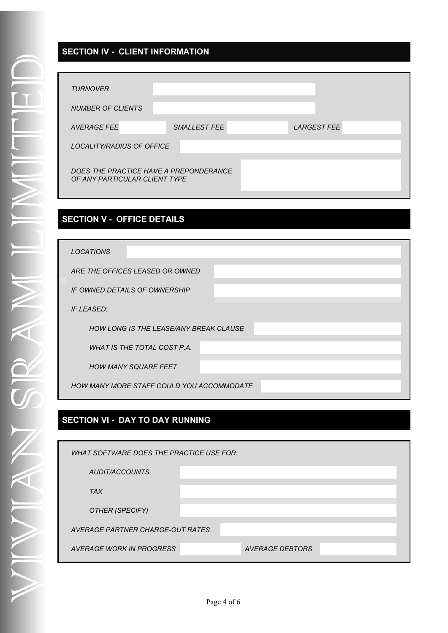#### **SECTION IV - CLIENT INFORMATION**

| <b>TURNOVER</b>                        |              |                    |  |
|----------------------------------------|--------------|--------------------|--|
|                                        |              |                    |  |
| <b>NUMBER OF CLIENTS</b>               |              |                    |  |
|                                        |              |                    |  |
| <b>AVERAGE FEE</b>                     | SMALLEST FEE | <b>LARGEST FEE</b> |  |
|                                        |              |                    |  |
| LOCALITY/RADIUS OF OFFICE              |              |                    |  |
|                                        |              |                    |  |
|                                        |              |                    |  |
| DOES THE PRACTICE HAVE A PREPONDERANCE |              |                    |  |
| OF ANY PARTICULAR CLIENT TYPE          |              |                    |  |
|                                        |              |                    |  |
|                                        |              |                    |  |

#### **SECTION V - OFFICE DETAILS**

| <b>LOCATIONS</b>                          |
|-------------------------------------------|
| ARE THE OFFICES LEASED OR OWNED           |
| IF OWNED DETAILS OF OWNERSHIP             |
| <b>IF LEASED:</b>                         |
| HOW LONG IS THE LEASE/ANY BREAK CLAUSE    |
| <b>WHAT IS THE TOTAL COST P.A.</b>        |
| <b>HOW MANY SQUARE FEET</b>               |
| HOW MANY MORE STAFF COULD YOU ACCOMMODATE |

#### **SECTION VI - DAY TO DAY RUNNING**

| WHAT SOFTWARE DOES THE PRACTICE USE FOR: |                 |
|------------------------------------------|-----------------|
| AUDIT/ACCOUNTS                           |                 |
| <b>TAX</b>                               |                 |
| OTHER (SPECIFY)                          |                 |
| AVERAGE PARTNER CHARGE-OUT RATES         |                 |
| AVERAGE WORK IN PROGRESS                 | AVERAGE DEBTORS |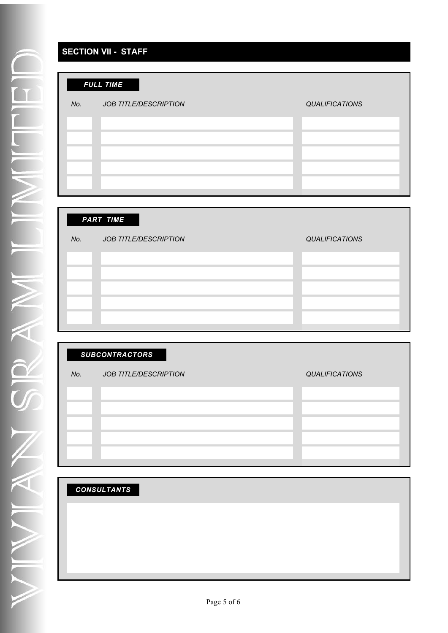#### **SECTION VII - STAFF**

| No.<br><b>JOB TITLE/DESCRIPTION</b><br><b>QUALIFICATIONS</b> |
|--------------------------------------------------------------|
|                                                              |
|                                                              |
|                                                              |
|                                                              |
|                                                              |

|     | <b>PART TIME</b>             |                       |
|-----|------------------------------|-----------------------|
| No. | <b>JOB TITLE/DESCRIPTION</b> | <b>QUALIFICATIONS</b> |
|     |                              |                       |
|     |                              |                       |
|     |                              |                       |
|     |                              |                       |
|     |                              |                       |

### *SUBCONTRACTORS*

#### *No. JOB TITLE/DESCRIPTION QUALIFICATIONS*

| <b>CONSULTANTS</b> |
|--------------------|
|--------------------|